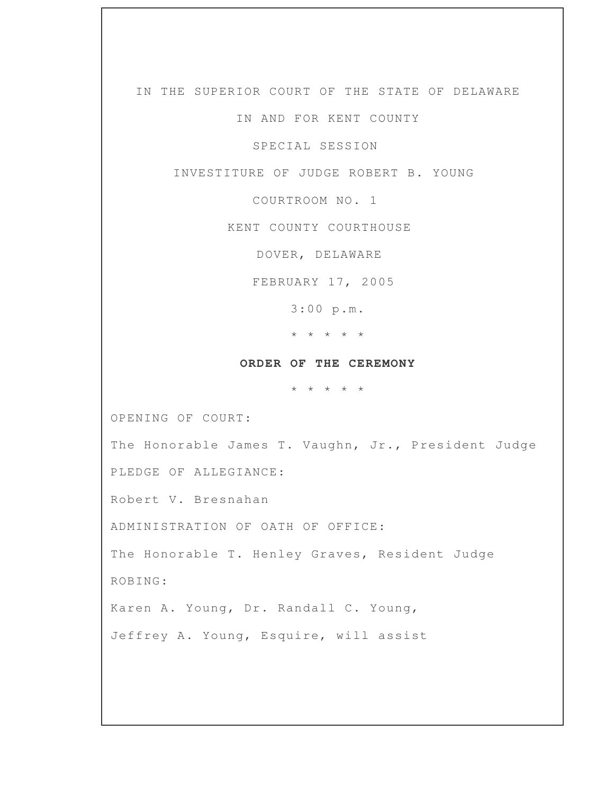IN THE SUPERIOR COURT OF THE STATE OF DELAWARE

IN AND FOR KENT COUNTY

SPECIAL SESSION

INVESTITURE OF JUDGE ROBERT B. YOUNG

COURTROOM NO. 1

KENT COUNTY COURTHOUSE

DOVER, DELAWARE

FEBRUARY 17, 2005

3:00 p.m.

\* \* \* \* \*

## **ORDER OF THE CEREMONY**

\* \* \* \* \*

OPENING OF COURT:

The Honorable James T. Vaughn, Jr., President Judge

PLEDGE OF ALLEGIANCE:

Robert V. Bresnahan

ADMINISTRATION OF OATH OF OFFICE:

The Honorable T. Henley Graves, Resident Judge

ROBING:

Karen A. Young, Dr. Randall C. Young,

Jeffrey A. Young, Esquire, will assist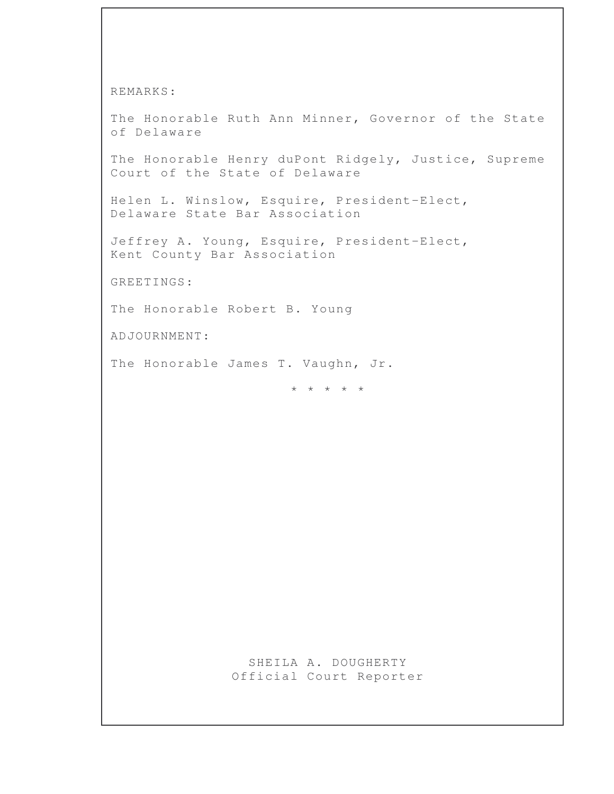REMARKS:

The Honorable Ruth Ann Minner, Governor of the State of Delaware

The Honorable Henry duPont Ridgely, Justice, Supreme Court of the State of Delaware

Helen L. Winslow, Esquire, President-Elect, Delaware State Bar Association

Jeffrey A. Young, Esquire, President-Elect, Kent County Bar Association

GREETINGS:

The Honorable Robert B. Young

ADJOURNMENT:

The Honorable James T. Vaughn, Jr.

\* \* \* \* \*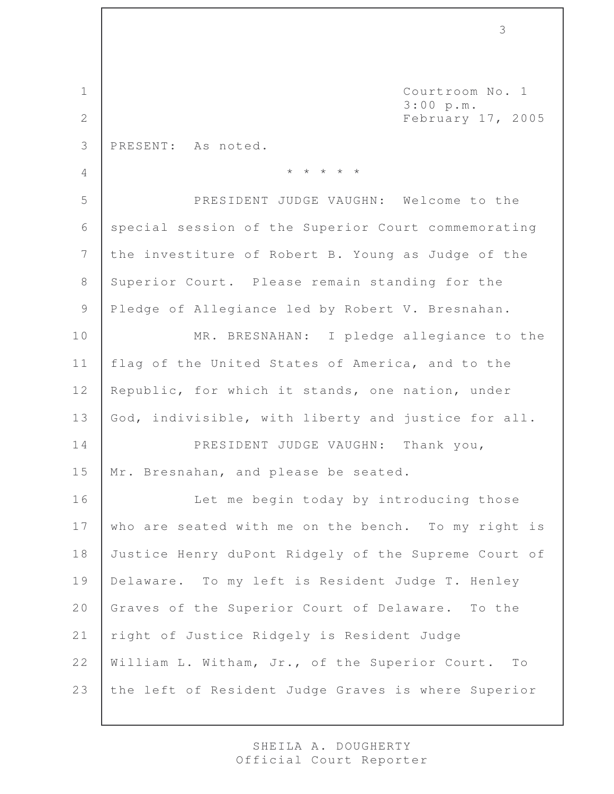1 Courtroom No. 1 3:00 p.m. 2 February 17, 2005 3 PRESENT: As noted. 4 \* \* \* \* \* 5 PRESIDENT JUDGE VAUGHN: Welcome to the 6 special session of the Superior Court commemorating 7 the investiture of Robert B. Young as Judge of the 8 Superior Court. Please remain standing for the 9 Pledge of Allegiance led by Robert V. Bresnahan. 10 MR. BRESNAHAN: I pledge allegiance to the 11 flag of the United States of America, and to the 12 Republic, for which it stands, one nation, under 13 God, indivisible, with liberty and justice for all. 14 PRESIDENT JUDGE VAUGHN: Thank you, 15 | Mr. Bresnahan, and please be seated. 16 | Let me begin today by introducing those 17 who are seated with me on the bench. To my right is 18 Justice Henry duPont Ridgely of the Supreme Court of 19 Delaware. To my left is Resident Judge T. Henley 20 Graves of the Superior Court of Delaware. To the 21 | right of Justice Ridgely is Resident Judge 22 William L. Witham, Jr., of the Superior Court. To 23 the left of Resident Judge Graves is where Superior

3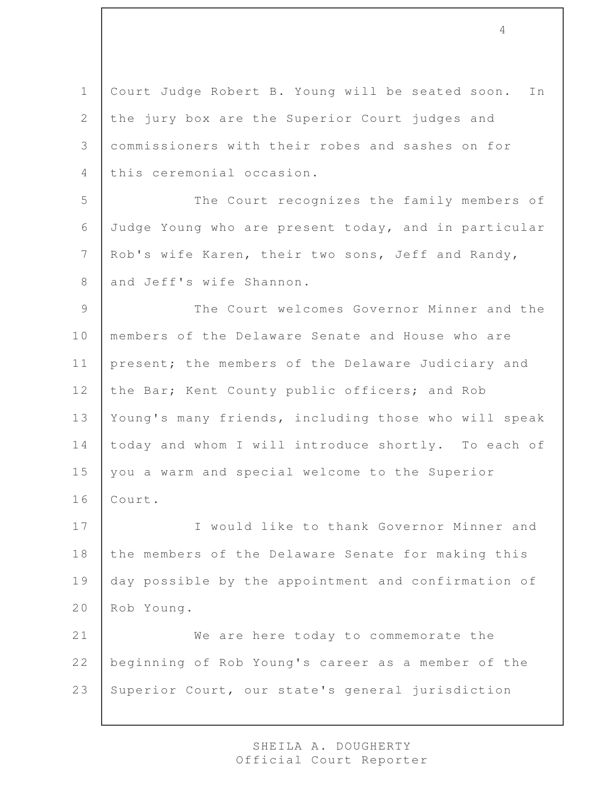1 | Court Judge Robert B. Young will be seated soon. In 2 the jury box are the Superior Court judges and 3 commissioners with their robes and sashes on for 4 this ceremonial occasion.

5 The Court recognizes the family members of 6 Judge Young who are present today, and in particular 7 Rob's wife Karen, their two sons, Jeff and Randy, 8 and Jeff's wife Shannon.

9 The Court welcomes Governor Minner and the 10 members of the Delaware Senate and House who are 11 | present; the members of the Delaware Judiciary and 12 the Bar; Kent County public officers; and Rob 13 Young's many friends, including those who will speak 14 today and whom I will introduce shortly. To each of 15 | you a warm and special welcome to the Superior 16 Court.

17 | Twould like to thank Governor Minner and 18 the members of the Delaware Senate for making this 19 day possible by the appointment and confirmation of 20 Rob Young.

21 We are here today to commemorate the 22 beginning of Rob Young's career as a member of the 23 Superior Court, our state's general jurisdiction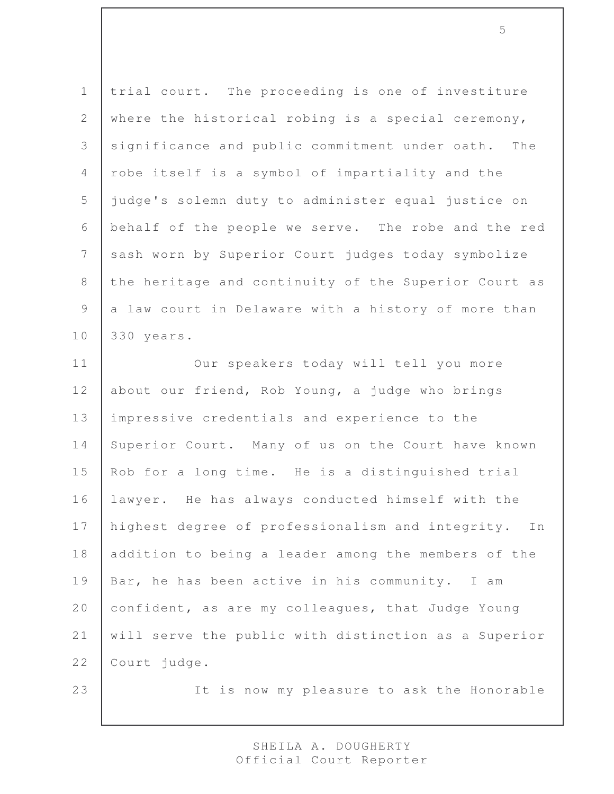1 trial court. The proceeding is one of investiture 2 where the historical robing is a special ceremony, 3 significance and public commitment under oath. The 4 robe itself is a symbol of impartiality and the 5 judge's solemn duty to administer equal justice on 6 behalf of the people we serve. The robe and the red 7 sash worn by Superior Court judges today symbolize 8 the heritage and continuity of the Superior Court as 9 a law court in Delaware with a history of more than 10 330 years.

11 Our speakers today will tell you more 12 about our friend, Rob Young, a judge who brings 13 impressive credentials and experience to the 14 Superior Court. Many of us on the Court have known 15 Rob for a long time. He is a distinguished trial 16 lawyer. He has always conducted himself with the 17 | highest degree of professionalism and integrity. In 18 addition to being a leader among the members of the 19 Bar, he has been active in his community. I am 20 confident, as are my colleagues, that Judge Young 21 will serve the public with distinction as a Superior 22 Court judge.

23 | The is now my pleasure to ask the Honorable

SHEILA A. DOUGHERTY Official Court Reporter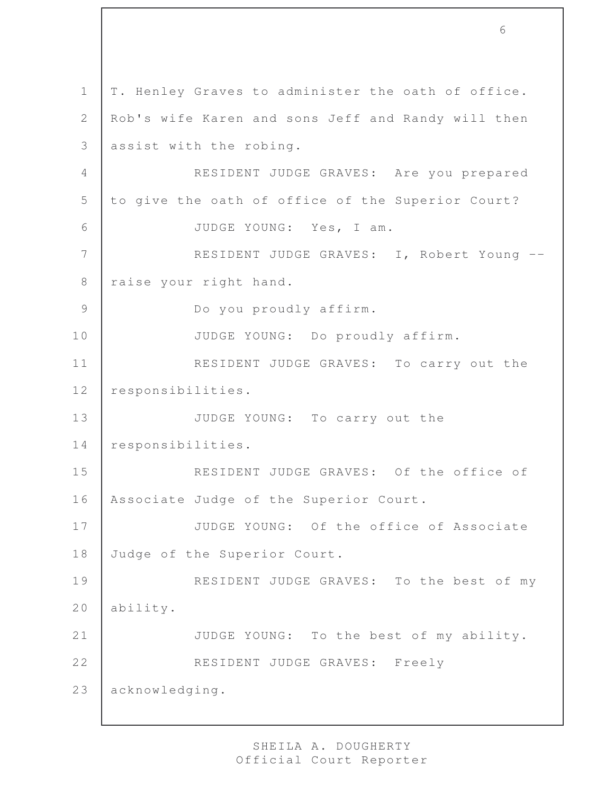1 | T. Henley Graves to administer the oath of office. 2 | Rob's wife Karen and sons Jeff and Randy will then 3 assist with the robing. 4 RESIDENT JUDGE GRAVES: Are you prepared 5 to give the oath of office of the Superior Court? 6 JUDGE YOUNG: Yes, I am. 7 RESIDENT JUDGE GRAVES: I, Robert Young --8 | raise your right hand. 9 Do you proudly affirm. 10 JUDGE YOUNG: Do proudly affirm. 11 RESIDENT JUDGE GRAVES: To carry out the 12 responsibilities. 13 JUDGE YOUNG: To carry out the 14 responsibilities. 15 RESIDENT JUDGE GRAVES: Of the office of 16 | Associate Judge of the Superior Court. 17 JUDGE YOUNG: Of the office of Associate 18 Judge of the Superior Court. 19 RESIDENT JUDGE GRAVES: To the best of my 20 ability. 21 JUDGE YOUNG: To the best of my ability. 22 RESIDENT JUDGE GRAVES: Freely 23 acknowledging.

6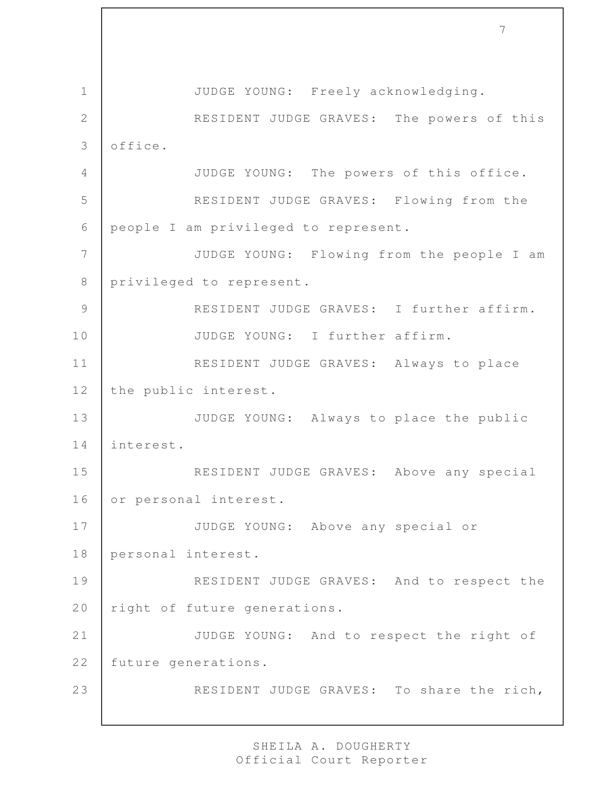1 JUDGE YOUNG: Freely acknowledging. 2 RESIDENT JUDGE GRAVES: The powers of this 3 office. 4 JUDGE YOUNG: The powers of this office. 5 RESIDENT JUDGE GRAVES: Flowing from the 6 people I am privileged to represent. 7 JUDGE YOUNG: Flowing from the people I am 8 privileged to represent. 9 RESIDENT JUDGE GRAVES: I further affirm. 10 JUDGE YOUNG: I further affirm. 11 RESIDENT JUDGE GRAVES: Always to place 12 the public interest. 13 JUDGE YOUNG: Always to place the public 14 interest. 15 | RESIDENT JUDGE GRAVES: Above any special 16 or personal interest. 17 | JUDGE YOUNG: Above any special or 18 personal interest. 19 RESIDENT JUDGE GRAVES: And to respect the 20 right of future generations. 21 JUDGE YOUNG: And to respect the right of 22 future generations. 23 RESIDENT JUDGE GRAVES: To share the rich,

7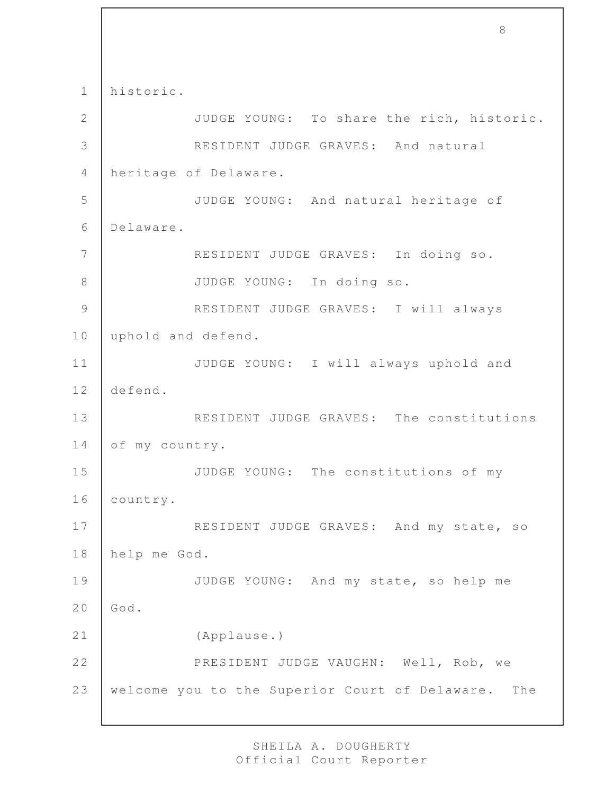1 historic. 2 JUDGE YOUNG: To share the rich, historic. 3 RESIDENT JUDGE GRAVES: And natural 4 heritage of Delaware. 5 JUDGE YOUNG: And natural heritage of 6 Delaware. 7 RESIDENT JUDGE GRAVES: In doing so. 8 JUDGE YOUNG: In doing so. 9 RESIDENT JUDGE GRAVES: I will always 10 | uphold and defend. 11 JUDGE YOUNG: I will always uphold and 12 defend. 13 RESIDENT JUDGE GRAVES: The constitutions 14 of my country. 15 JUDGE YOUNG: The constitutions of my 16 country. 17 | RESIDENT JUDGE GRAVES: And my state, so 18 help me God. 19 JUDGE YOUNG: And my state, so help me  $20$  God. 21 (Applause.) 22 | PRESIDENT JUDGE VAUGHN: Well, Rob, we 23 | welcome you to the Superior Court of Delaware. The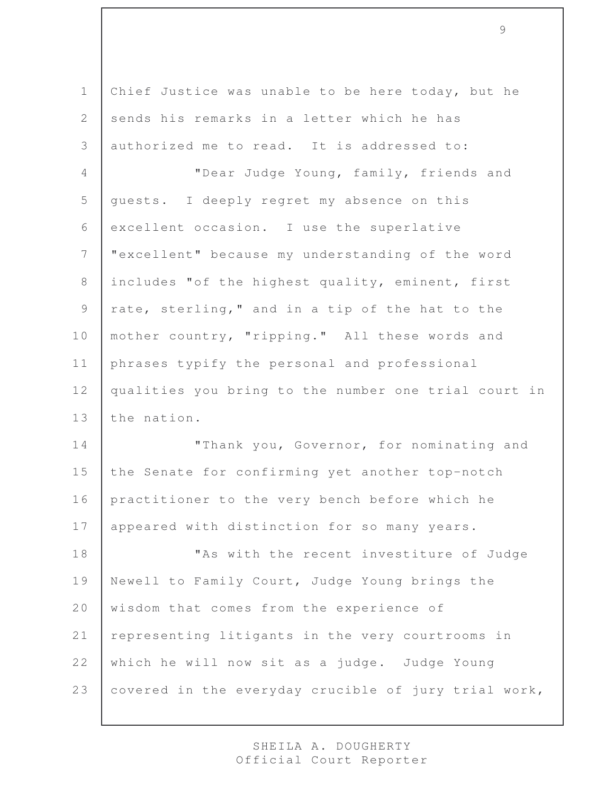1 Chief Justice was unable to be here today, but he 2 sends his remarks in a letter which he has 3 authorized me to read. It is addressed to: 4 "Dear Judge Young, family, friends and 5 | quests. I deeply regret my absence on this 6 excellent occasion. I use the superlative 7 "excellent" because my understanding of the word 8 includes "of the highest quality, eminent, first 9  $\vert$  rate, sterling," and in a tip of the hat to the 10 | mother country, "ripping." All these words and 11 phrases typify the personal and professional 12 qualities you bring to the number one trial court in 13 the nation. 14 | Thank you, Governor, for nominating and 15 the Senate for confirming yet another top-notch 16 practitioner to the very bench before which he 17 | appeared with distinction for so many years. 18 | This with the recent investiture of Judge 19 Newell to Family Court, Judge Young brings the 20 wisdom that comes from the experience of 21 | representing litigants in the very courtrooms in 22 which he will now sit as a judge. Judge Young

9

23 covered in the everyday crucible of jury trial work,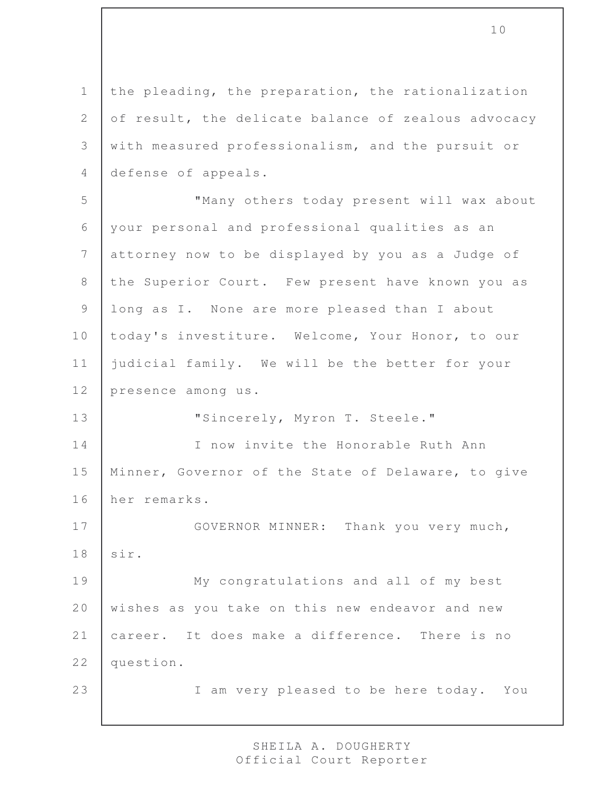1 the pleading, the preparation, the rationalization 2 of result, the delicate balance of zealous advocacy 3 with measured professionalism, and the pursuit or 4 defense of appeals.

 "Many others today present will wax about your personal and professional qualities as an attorney now to be displayed by you as a Judge of the Superior Court. Few present have known you as 9 | long as I. None are more pleased than I about 10 today's investiture. Welcome, Your Honor, to our judicial family. We will be the better for your presence among us.

13 | "Sincerely, Myron T. Steele."

14 I now invite the Honorable Ruth Ann 15 Minner, Governor of the State of Delaware, to give 16 her remarks.

17 GOVERNOR MINNER: Thank you very much, 18 sir.

19 | My congratulations and all of my best 20 wishes as you take on this new endeavor and new 21 career. It does make a difference. There is no 22 question.

23 | I am very pleased to be here today. You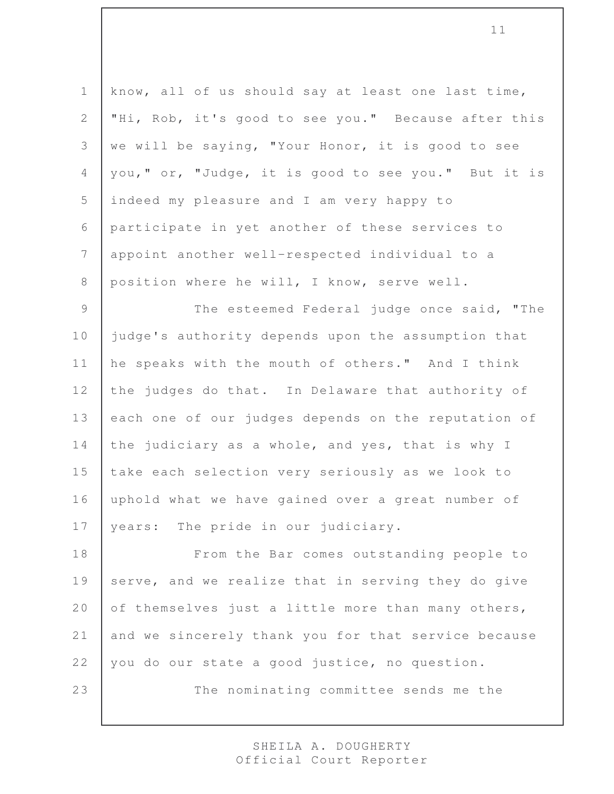1 | know, all of us should say at least one last time, 2 "Hi, Rob, it's good to see you." Because after this 3 we will be saying, "Your Honor, it is good to see 4 | you, " or, "Judge, it is good to see you." But it is 5 indeed my pleasure and I am very happy to 6 participate in yet another of these services to 7 appoint another well-respected individual to a 8 position where he will, I know, serve well. 9 The esteemed Federal judge once said, "The 10 judge's authority depends upon the assumption that 11 he speaks with the mouth of others." And I think 12 the judges do that. In Delaware that authority of 13 each one of our judges depends on the reputation of 14 the judiciary as a whole, and yes, that is why I

15 take each selection very seriously as we look to 16 uphold what we have gained over a great number of 17 | years: The pride in our judiciary.

18 From the Bar comes outstanding people to 19 serve, and we realize that in serving they do give 20 of themselves just a little more than many others, 21 and we sincerely thank you for that service because 22 you do our state a good justice, no question.

23 The nominating committee sends me the

SHEILA A. DOUGHERTY Official Court Reporter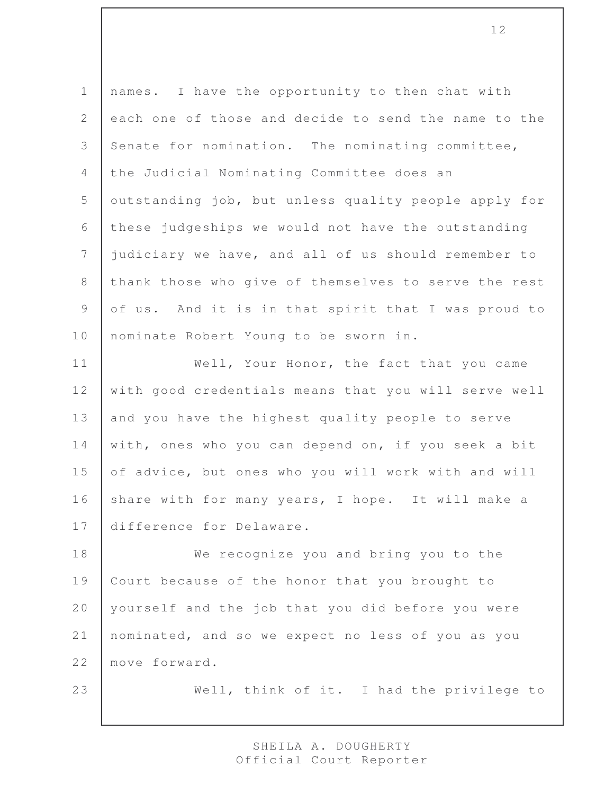1 | names. I have the opportunity to then chat with 2 each one of those and decide to send the name to the 3 Senate for nomination. The nominating committee, 4 the Judicial Nominating Committee does an 5 | outstanding job, but unless quality people apply for 6 these judgeships we would not have the outstanding 7 judiciary we have, and all of us should remember to 8 thank those who give of themselves to serve the rest 9 of us. And it is in that spirit that I was proud to 10 | nominate Robert Young to be sworn in.

11 | Well, Your Honor, the fact that you came 12 with good credentials means that you will serve well 13 and you have the highest quality people to serve 14 with, ones who you can depend on, if you seek a bit 15 of advice, but ones who you will work with and will 16 share with for many years, I hope. It will make a 17 difference for Delaware.

18 We recognize you and bring you to the 19 | Court because of the honor that you brought to 20 | yourself and the job that you did before you were 21 nominated, and so we expect no less of you as you 22 move forward.

23 Well, think of it. I had the privilege to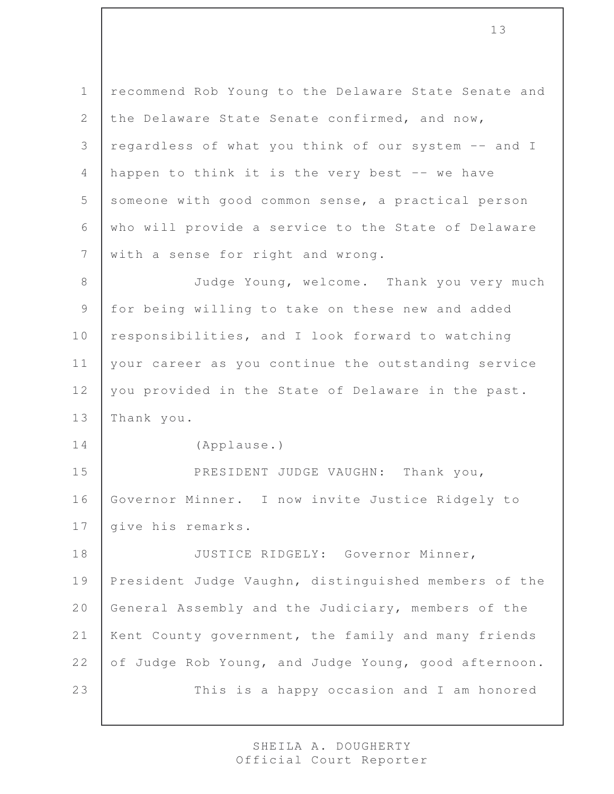1 recommend Rob Young to the Delaware State Senate and 2 the Delaware State Senate confirmed, and now, 3 regardless of what you think of our system -- and I 4 | happen to think it is the very best  $-$  we have 5 someone with good common sense, a practical person 6 who will provide a service to the State of Delaware 7 with a sense for right and wrong.

8 Judge Young, welcome. Thank you very much 9 for being willing to take on these new and added 10 responsibilities, and I look forward to watching 11 | your career as you continue the outstanding service 12 you provided in the State of Delaware in the past. 13 Thank you.

14 (Applause.)

15 PRESIDENT JUDGE VAUGHN: Thank you, 16 Governor Minner. I now invite Justice Ridgely to 17 | give his remarks.

18 JUSTICE RIDGELY: Governor Minner, 19 President Judge Vaughn, distinguished members of the 20 General Assembly and the Judiciary, members of the 21 | Kent County government, the family and many friends 22 of Judge Rob Young, and Judge Young, good afternoon. 23 This is a happy occasion and I am honored

> SHEILA A. DOUGHERTY Official Court Reporter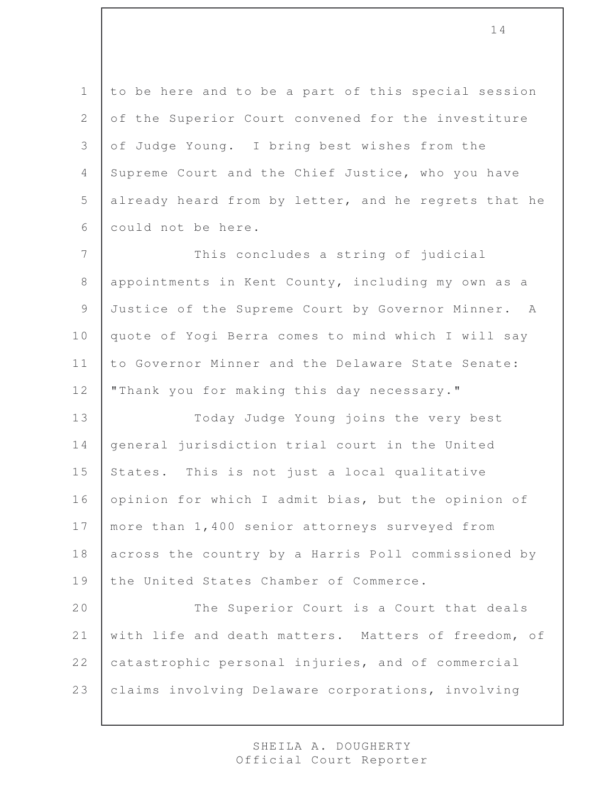1 to be here and to be a part of this special session 2 of the Superior Court convened for the investiture 3 of Judge Young. I bring best wishes from the 4 Supreme Court and the Chief Justice, who you have 5 already heard from by letter, and he regrets that he 6 could not be here.

7 This concludes a string of judicial 8 appointments in Kent County, including my own as a 9 Justice of the Supreme Court by Governor Minner. A 10 quote of Yogi Berra comes to mind which I will say 11 to Governor Minner and the Delaware State Senate: 12 | "Thank you for making this day necessary."

13 Today Judge Young joins the very best 14 general jurisdiction trial court in the United 15 States. This is not just a local qualitative 16 opinion for which I admit bias, but the opinion of 17 | more than 1,400 senior attorneys surveyed from 18 across the country by a Harris Poll commissioned by 19 the United States Chamber of Commerce.

20 The Superior Court is a Court that deals 21 with life and death matters. Matters of freedom, of 22 catastrophic personal injuries, and of commercial 23 | claims involving Delaware corporations, involving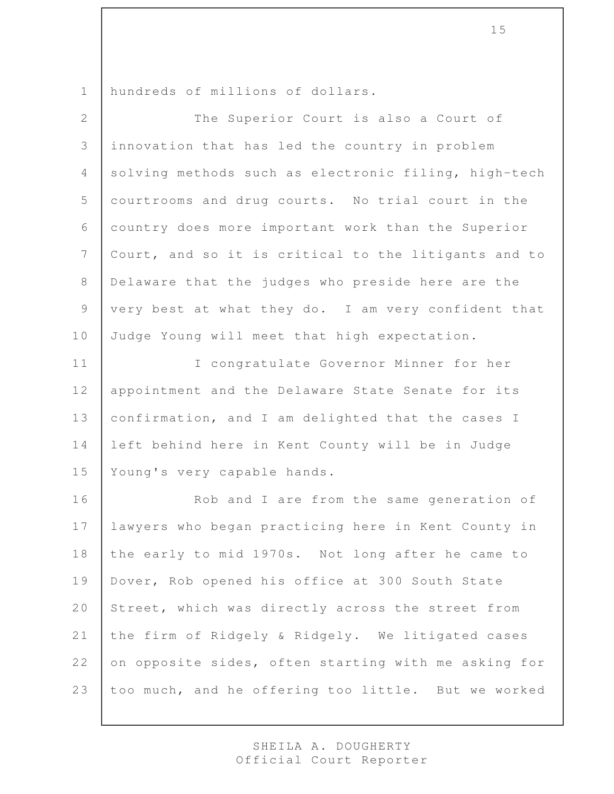hundreds of millions of dollars.

| 2              | The Superior Court is also a Court of                |
|----------------|------------------------------------------------------|
| 3              | innovation that has led the country in problem       |
| $\overline{4}$ | solving methods such as electronic filing, high-tech |
| 5              | courtrooms and drug courts. No trial court in the    |
| 6              | country does more important work than the Superior   |
| $7\phantom{.}$ | Court, and so it is critical to the litigants and to |
| $\,8\,$        | Delaware that the judges who preside here are the    |
| $\mathcal{G}$  | very best at what they do. I am very confident that  |
| 10             | Judge Young will meet that high expectation.         |
| 11             | I congratulate Governor Minner for her               |
| 12             | appointment and the Delaware State Senate for its    |
| 13             | confirmation, and I am delighted that the cases I    |
| 14             | left behind here in Kent County will be in Judge     |
| 15             | Young's very capable hands.                          |
| 16             | Rob and I are from the same generation of            |
| 17             | lawyers who began practicing here in Kent County in  |
| 18             | the early to mid 1970s. Not long after he came to    |
| 19             | Dover, Rob opened his office at 300 South State      |
| 20             | Street, which was directly across the street from    |
| 21             | the firm of Ridgely & Ridgely. We litigated cases    |
| 22             | on opposite sides, often starting with me asking for |
| 23             | too much, and he offering too little. But we worked  |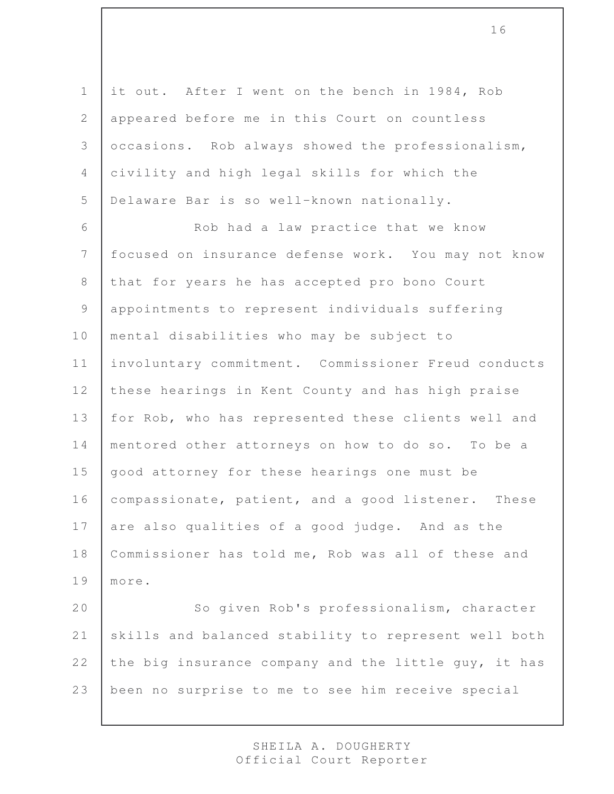it out. After I went on the bench in 1984, Rob 2 appeared before me in this Court on countless occasions. Rob always showed the professionalism, civility and high legal skills for which the Delaware Bar is so well-known nationally.

6 Rob had a law practice that we know 7 focused on insurance defense work. You may not know 8 that for years he has accepted pro bono Court 9 appointments to represent individuals suffering 10 | mental disabilities who may be subject to 11 involuntary commitment. Commissioner Freud conducts 12 these hearings in Kent County and has high praise 13 for Rob, who has represented these clients well and 14 mentored other attorneys on how to do so. To be a 15 | good attorney for these hearings one must be 16 | compassionate, patient, and a good listener. These 17 are also qualities of a good judge. And as the 18 Commissioner has told me, Rob was all of these and 19 more. 20 So given Rob's professionalism, character 21 | skills and balanced stability to represent well both 22 the big insurance company and the little guy, it has

23 been no surprise to me to see him receive special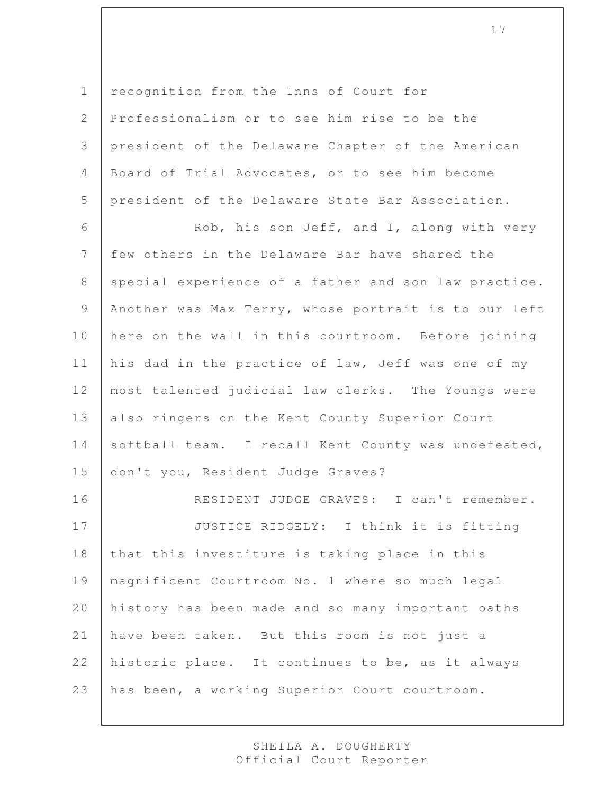1 recognition from the Inns of Court for

 Professionalism or to see him rise to be the president of the Delaware Chapter of the American Board of Trial Advocates, or to see him become president of the Delaware State Bar Association.

6 Rob, his son Jeff, and I, along with very 7 few others in the Delaware Bar have shared the 8 special experience of a father and son law practice. 9 | Another was Max Terry, whose portrait is to our left 10 here on the wall in this courtroom. Before joining 11 | his dad in the practice of law, Jeff was one of my 12 most talented judicial law clerks. The Youngs were 13 also ringers on the Kent County Superior Court 14 softball team. I recall Kent County was undefeated, 15 don't you, Resident Judge Graves?

 RESIDENT JUDGE GRAVES: I can't remember. 17 JUSTICE RIDGELY: I think it is fitting 18 that this investiture is taking place in this magnificent Courtroom No. 1 where so much legal history has been made and so many important oaths have been taken. But this room is not just a 22 historic place. It continues to be, as it always has been, a working Superior Court courtroom.

> SHEILA A. DOUGHERTY Official Court Reporter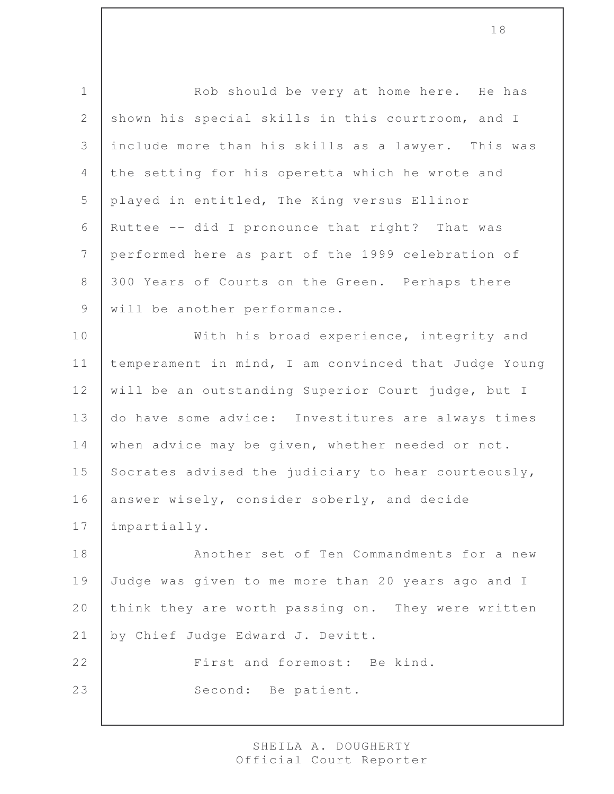| $\mathbf 1$    | Rob should be very at home here. He has              |
|----------------|------------------------------------------------------|
| $\mathbf{2}$   | shown his special skills in this courtroom, and I    |
| 3              | include more than his skills as a lawyer. This was   |
| $\overline{4}$ | the setting for his operetta which he wrote and      |
| 5              | played in entitled, The King versus Ellinor          |
| 6              | Ruttee -- did I pronounce that right? That was       |
| $7\phantom{.}$ | performed here as part of the 1999 celebration of    |
| $\,8\,$        | 300 Years of Courts on the Green. Perhaps there      |
| 9              | will be another performance.                         |
| 10             | With his broad experience, integrity and             |
| 11             | temperament in mind, I am convinced that Judge Young |
| 12             | will be an outstanding Superior Court judge, but I   |
| 13             | do have some advice: Investitures are always times   |
| 14             | when advice may be given, whether needed or not.     |
| 15             | Socrates advised the judiciary to hear courteously,  |
| 16             | answer wisely, consider soberly, and decide          |
| 17             | impartially.                                         |
| 18             | Another set of Ten Commandments for a new            |
| 19             | Judge was given to me more than 20 years ago and I   |
| $2\,0$         | think they are worth passing on. They were written   |
| 21             | by Chief Judge Edward J. Devitt.                     |
| 22             | First and foremost: Be kind.                         |
| 23             | Second: Be patient.                                  |
|                |                                                      |

SHEILA A. DOUGHERTY Official Court Reporter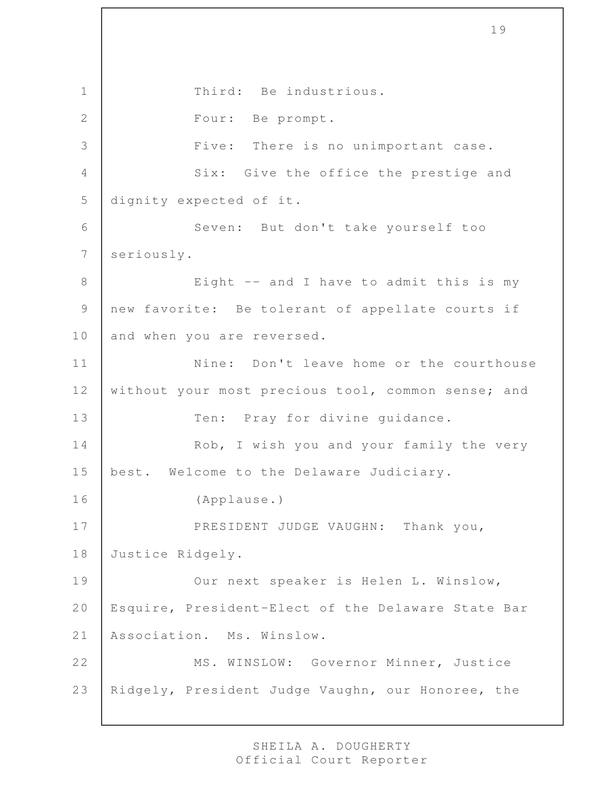1 Third: Be industrious. 2 Four: Be prompt. 3 | Five: There is no unimportant case. 4 Six: Give the office the prestige and 5 dignity expected of it. 6 Seven: But don't take yourself too 7 seriously. 8 | Eight -- and I have to admit this is my 9 new favorite: Be tolerant of appellate courts if 10 and when you are reversed. 11 Nine: Don't leave home or the courthouse 12 without your most precious tool, common sense; and 13 Ten: Pray for divine quidance. 14 | Rob, I wish you and your family the very 15 | best. Welcome to the Delaware Judiciary. 16 (Applause.) 17 PRESIDENT JUDGE VAUGHN: Thank you, 18 Justice Ridgely. 19 | Our next speaker is Helen L. Winslow, 20 | Esquire, President-Elect of the Delaware State Bar 21 Association. Ms. Winslow. 22 | MS. WINSLOW: Governor Minner, Justice 23 Ridgely, President Judge Vaughn, our Honoree, the

19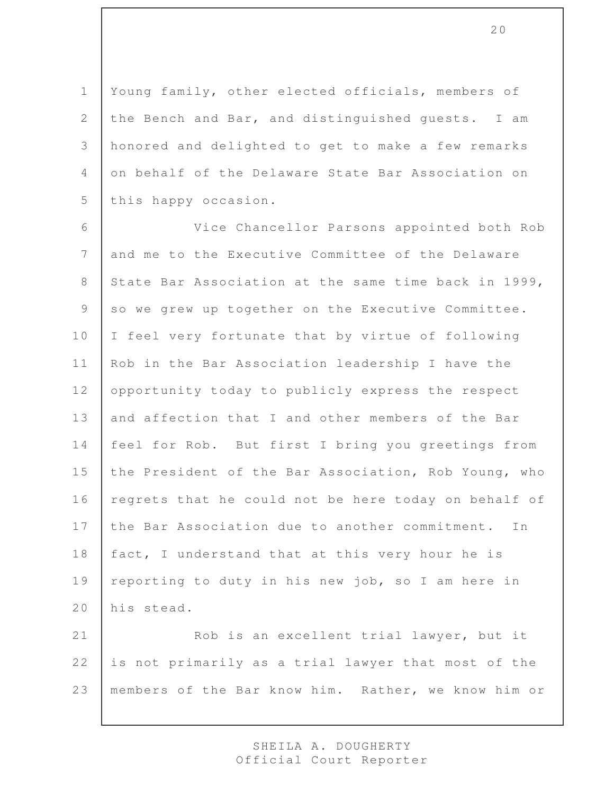1 Young family, other elected officials, members of 2 the Bench and Bar, and distinguished quests. I am 3 honored and delighted to get to make a few remarks 4 on behalf of the Delaware State Bar Association on 5 this happy occasion.

6 Vice Chancellor Parsons appointed both Rob 7 and me to the Executive Committee of the Delaware 8 State Bar Association at the same time back in 1999, 9 so we grew up together on the Executive Committee. 10 | I feel very fortunate that by virtue of following 11 | Rob in the Bar Association leadership I have the 12 opportunity today to publicly express the respect 13 and affection that I and other members of the Bar 14 feel for Rob. But first I bring you greetings from 15 the President of the Bar Association, Rob Young, who 16 regrets that he could not be here today on behalf of 17 the Bar Association due to another commitment. In 18 fact, I understand that at this very hour he is 19 | reporting to duty in his new job, so I am here in 20 his stead.

21 Rob is an excellent trial lawyer, but it 22 is not primarily as a trial lawyer that most of the 23 members of the Bar know him. Rather, we know him or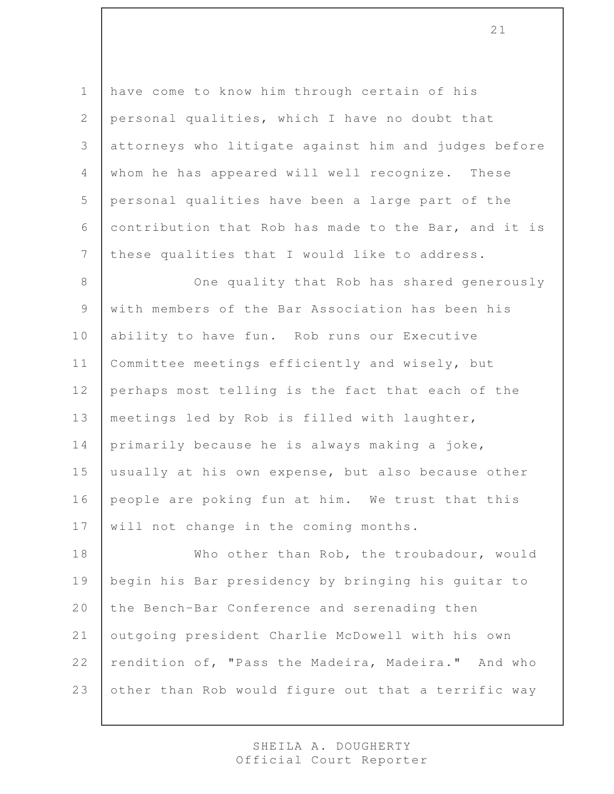1 have come to know him through certain of his 2 personal qualities, which I have no doubt that 3 attorneys who litigate against him and judges before 4 whom he has appeared will well recognize. These 5 personal qualities have been a large part of the 6 contribution that Rob has made to the Bar, and it is 7 these qualities that I would like to address.

8 One quality that Rob has shared generously 9 with members of the Bar Association has been his 10 ability to have fun. Rob runs our Executive 11 | Committee meetings efficiently and wisely, but 12 perhaps most telling is the fact that each of the 13 | meetings led by Rob is filled with laughter, 14 primarily because he is always making a joke, 15 usually at his own expense, but also because other 16 people are poking fun at him. We trust that this 17 | will not change in the coming months.

18 Who other than Rob, the troubadour, would 19 begin his Bar presidency by bringing his guitar to 20 the Bench-Bar Conference and serenading then 21 | outgoing president Charlie McDowell with his own 22 rendition of, "Pass the Madeira, Madeira." And who 23 other than Rob would figure out that a terrific way

> SHEILA A. DOUGHERTY Official Court Reporter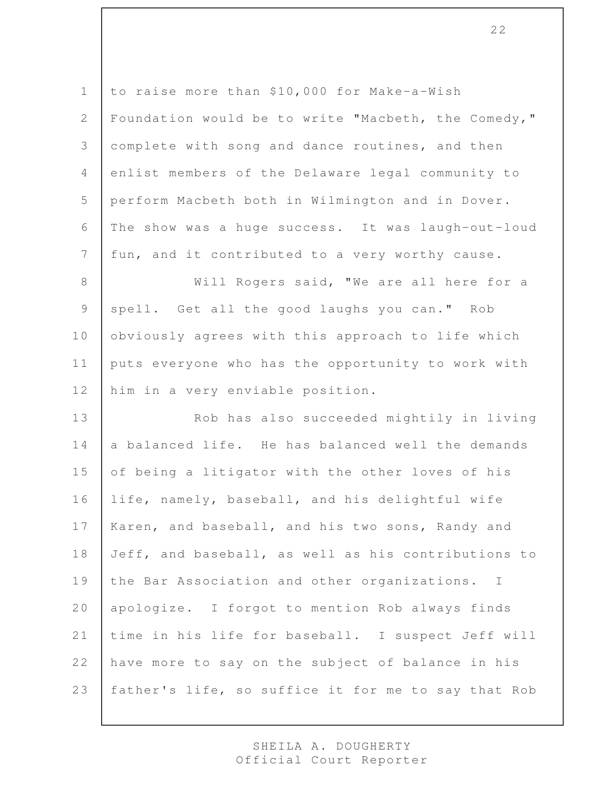to raise more than \$10,000 for Make-a-Wish 2 | Foundation would be to write "Macbeth, the Comedy," complete with song and dance routines, and then enlist members of the Delaware legal community to perform Macbeth both in Wilmington and in Dover. The show was a huge success. It was laugh-out-loud 7 | fun, and it contributed to a very worthy cause. 8 | Will Rogers said, "We are all here for a

9 spell. Get all the good laughs you can." Rob 10 | obviously agrees with this approach to life which 11 puts everyone who has the opportunity to work with 12 him in a very enviable position.

13 | Rob has also succeeded mightily in living 14 a balanced life. He has balanced well the demands 15 of being a litigator with the other loves of his 16 life, namely, baseball, and his delightful wife 17 | Karen, and baseball, and his two sons, Randy and 18 Jeff, and baseball, as well as his contributions to 19 the Bar Association and other organizations. I 20 apologize. I forgot to mention Rob always finds 21 time in his life for baseball. I suspect Jeff will 22 have more to say on the subject of balance in his 23 | father's life, so suffice it for me to say that Rob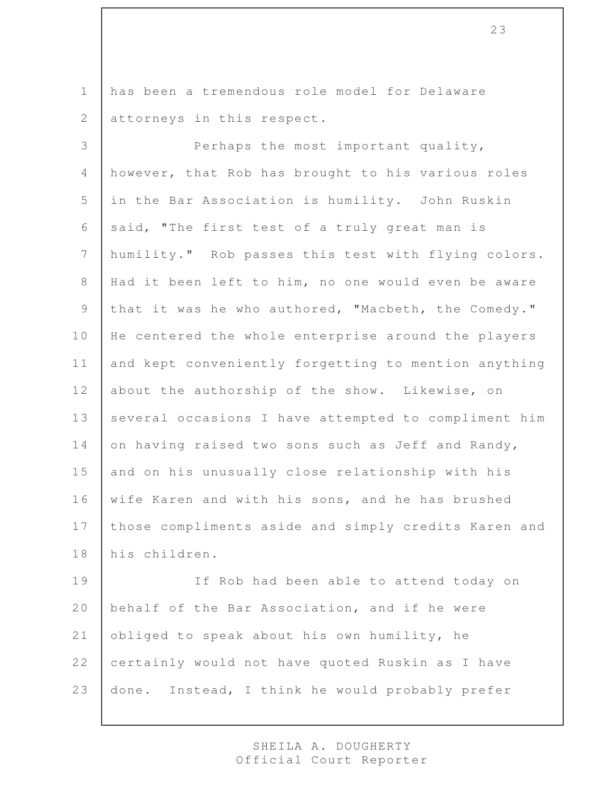1 has been a tremendous role model for Delaware 2 attorneys in this respect.

3 Perhaps the most important quality, 4 however, that Rob has brought to his various roles 5 in the Bar Association is humility. John Ruskin 6 said, "The first test of a truly great man is 7 humility." Rob passes this test with flying colors. 8 | Had it been left to him, no one would even be aware 9 that it was he who authored, "Macbeth, the Comedy." 10 | He centered the whole enterprise around the players 11 and kept conveniently forgetting to mention anything 12 about the authorship of the show. Likewise, on 13 several occasions I have attempted to compliment him 14 on having raised two sons such as Jeff and Randy, 15 and on his unusually close relationship with his 16 wife Karen and with his sons, and he has brushed 17 | those compliments aside and simply credits Karen and 18 his children.

19 If Rob had been able to attend today on 20 behalf of the Bar Association, and if he were 21 obliged to speak about his own humility, he 22 certainly would not have quoted Ruskin as I have 23 done. Instead, I think he would probably prefer

> SHEILA A. DOUGHERTY Official Court Reporter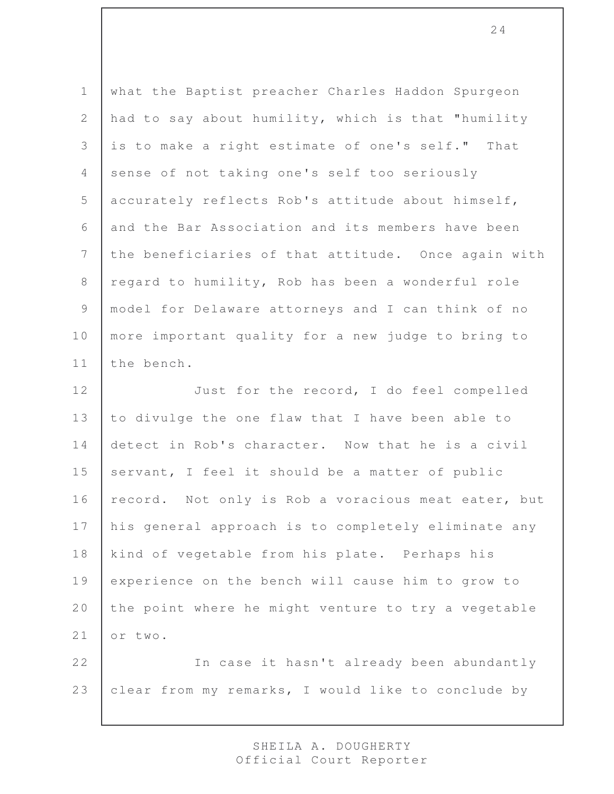1 what the Baptist preacher Charles Haddon Spurgeon 2 had to say about humility, which is that "humility 3 is to make a right estimate of one's self." That 4 sense of not taking one's self too seriously 5 accurately reflects Rob's attitude about himself, 6 and the Bar Association and its members have been 7 the beneficiaries of that attitude. Once again with 8 regard to humility, Rob has been a wonderful role 9 | model for Delaware attorneys and I can think of no 10 | more important quality for a new judge to bring to 11 the bench.

12 Just for the record, I do feel compelled 13 to divulge the one flaw that I have been able to 14 detect in Rob's character. Now that he is a civil 15 servant, I feel it should be a matter of public 16 | record. Not only is Rob a voracious meat eater, but 17 | his general approach is to completely eliminate any 18 | kind of vegetable from his plate. Perhaps his 19 experience on the bench will cause him to grow to 20 the point where he might venture to try a vegetable 21 or two.

22 In case it hasn't already been abundantly 23 clear from my remarks, I would like to conclude by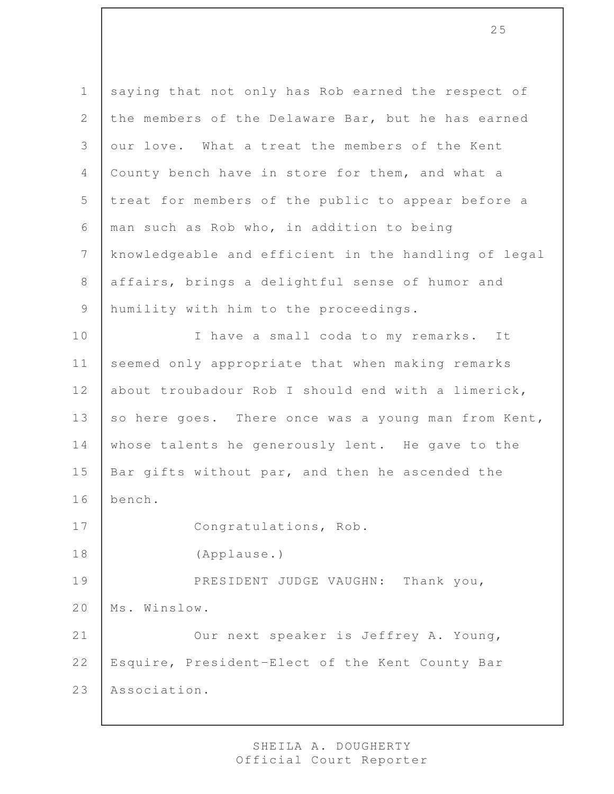1 saying that not only has Rob earned the respect of 2 the members of the Delaware Bar, but he has earned 3 our love. What a treat the members of the Kent 4 County bench have in store for them, and what a 5 treat for members of the public to appear before a 6 man such as Rob who, in addition to being 7 knowledgeable and efficient in the handling of legal 8 affairs, brings a delightful sense of humor and 9 humility with him to the proceedings. 10 | I have a small coda to my remarks. It 11 seemed only appropriate that when making remarks 12 about troubadour Rob I should end with a limerick, 13 so here goes. There once was a young man from Kent, 14 whose talents he generously lent. He gave to the 15 | Bar gifts without par, and then he ascended the 16 bench. 17 Congratulations, Rob. 18 (Applause.) 19 PRESIDENT JUDGE VAUGHN: Thank you, 20 | Ms. Winslow. 21 | Our next speaker is Jeffrey A. Young, 22 | Esquire, President-Elect of the Kent County Bar 23 Association.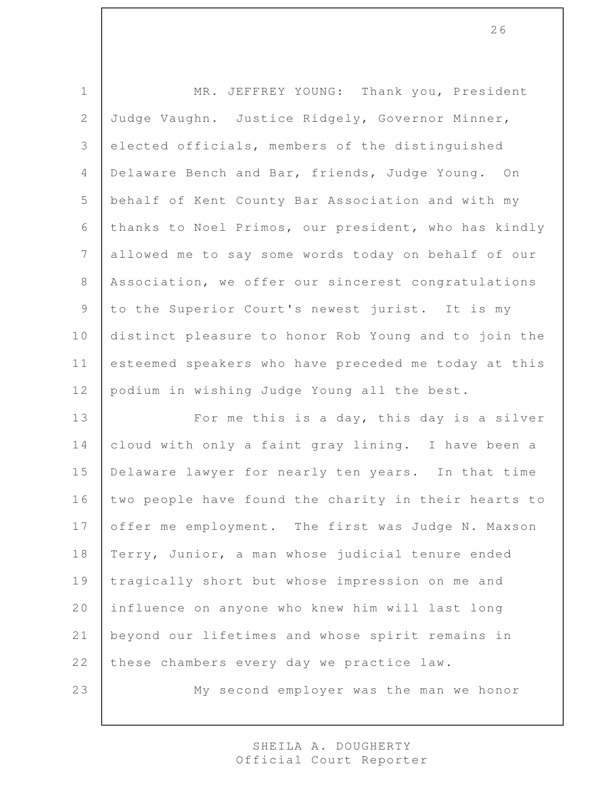1 MR. JEFFREY YOUNG: Thank you, President Judge Vaughn. Justice Ridgely, Governor Minner, elected officials, members of the distinguished Delaware Bench and Bar, friends, Judge Young. On behalf of Kent County Bar Association and with my thanks to Noel Primos, our president, who has kindly allowed me to say some words today on behalf of our Association, we offer our sincerest congratulations 9 to the Superior Court's newest jurist. It is my distinct pleasure to honor Rob Young and to join the 11 esteemed speakers who have preceded me today at this 12 podium in wishing Judge Young all the best.

13 | For me this is a day, this day is a silver cloud with only a faint gray lining. I have been a Delaware lawyer for nearly ten years. In that time 16 two people have found the charity in their hearts to 17 offer me employment. The first was Judge N. Maxson Terry, Junior, a man whose judicial tenure ended tragically short but whose impression on me and influence on anyone who knew him will last long beyond our lifetimes and whose spirit remains in 22 these chambers every day we practice law.

My second employer was the man we honor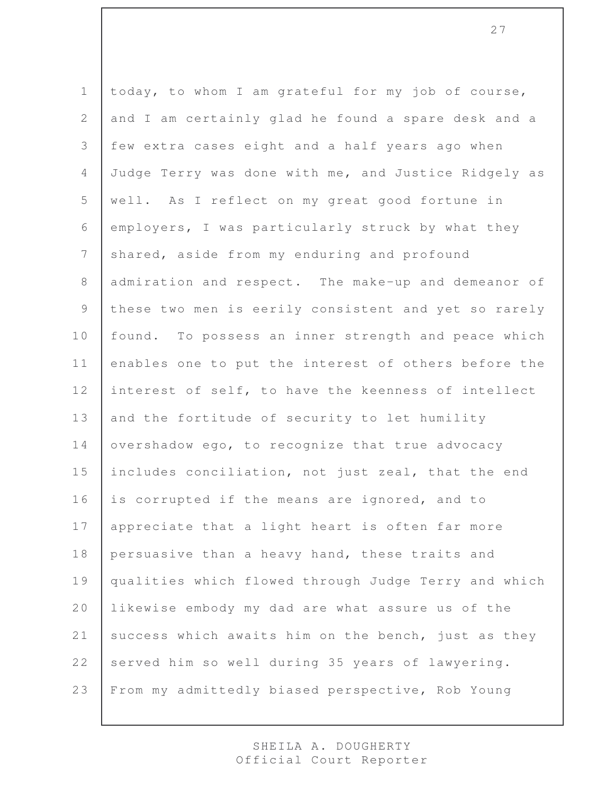1 today, to whom I am grateful for my job of course, 2 and I am certainly glad he found a spare desk and a 3 few extra cases eight and a half years ago when 4 Judge Terry was done with me, and Justice Ridgely as 5 well. As I reflect on my great good fortune in 6 employers, I was particularly struck by what they 7 shared, aside from my enduring and profound 8 admiration and respect. The make-up and demeanor of 9 these two men is eerily consistent and yet so rarely 10 | found. To possess an inner strength and peace which 11 enables one to put the interest of others before the 12 interest of self, to have the keenness of intellect 13 and the fortitude of security to let humility 14 | overshadow ego, to recognize that true advocacy 15 includes conciliation, not just zeal, that the end 16 is corrupted if the means are ignored, and to 17 | appreciate that a light heart is often far more 18 persuasive than a heavy hand, these traits and 19 qualities which flowed through Judge Terry and which 20 likewise embody my dad are what assure us of the 21 success which awaits him on the bench, just as they 22 served him so well during 35 years of lawyering. 23 From my admittedly biased perspective, Rob Young

> SHEILA A. DOUGHERTY Official Court Reporter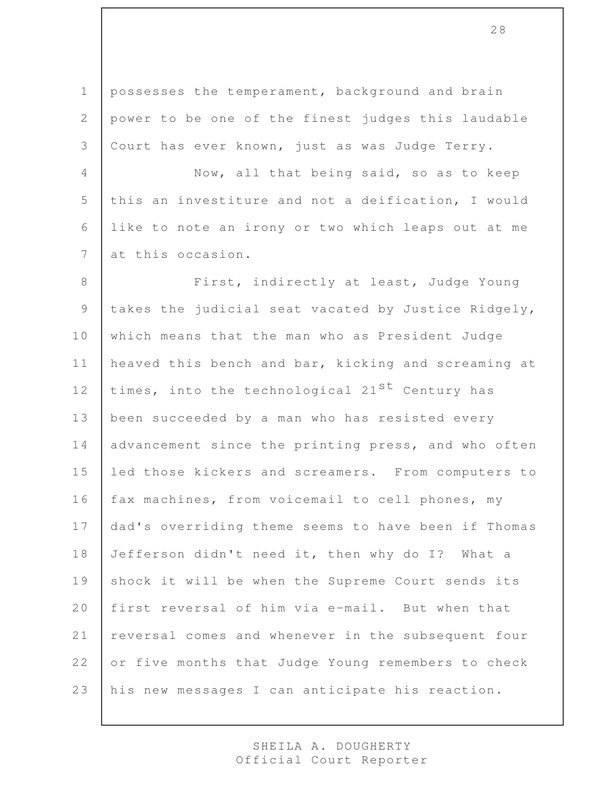1 | possesses the temperament, background and brain 2 power to be one of the finest judges this laudable 3 Court has ever known, just as was Judge Terry.

4 Now, all that being said, so as to keep 5 this an investiture and not a deification, I would 6 like to note an irony or two which leaps out at me 7 at this occasion.

8 | First, indirectly at least, Judge Young 9 | takes the judicial seat vacated by Justice Ridgely, 10 which means that the man who as President Judge 11 | heaved this bench and bar, kicking and screaming at 12 times, into the technological 21<sup>st</sup> Century has 13 been succeeded by a man who has resisted every 14 | advancement since the printing press, and who often 15 led those kickers and screamers. From computers to 16 | fax machines, from voicemail to cell phones, my 17 | dad's overriding theme seems to have been if Thomas 18 Jefferson didn't need it, then why do I? What a 19 shock it will be when the Supreme Court sends its 20 first reversal of him via e-mail. But when that 21 | reversal comes and whenever in the subsequent four 22 or five months that Judge Young remembers to check 23 his new messages I can anticipate his reaction.

> SHEILA A. DOUGHERTY Official Court Reporter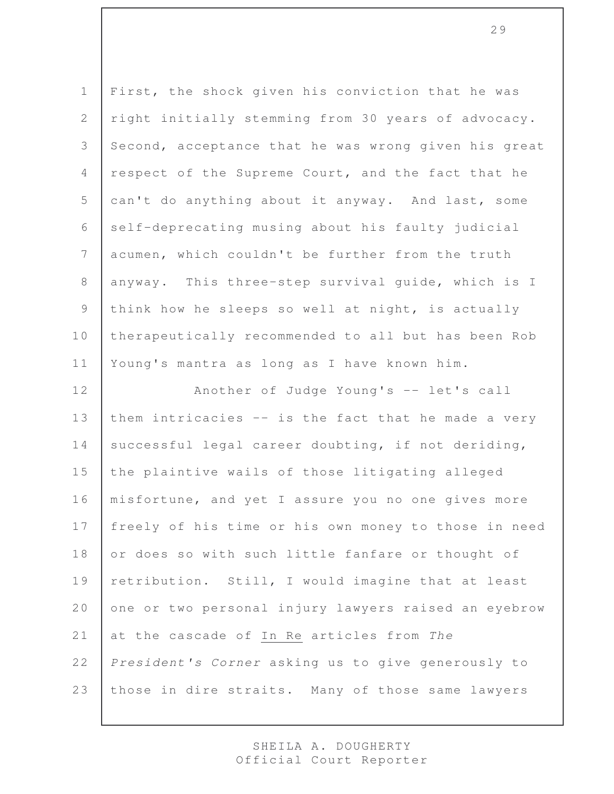1 First, the shock given his conviction that he was 2 right initially stemming from 30 years of advocacy. 3 Second, acceptance that he was wrong given his great 4 respect of the Supreme Court, and the fact that he 5 can't do anything about it anyway. And last, some 6 self-deprecating musing about his faulty judicial 7 acumen, which couldn't be further from the truth 8 anyway. This three-step survival quide, which is I 9 think how he sleeps so well at night, is actually 10 therapeutically recommended to all but has been Rob 11 Young's mantra as long as I have known him.

12 | Another of Judge Young's -- let's call 13 them intricacies -- is the fact that he made a very 14 successful legal career doubting, if not deriding, 15 the plaintive wails of those litigating alleged 16 | misfortune, and yet I assure you no one gives more 17 | freely of his time or his own money to those in need 18 or does so with such little fanfare or thought of 19 | retribution. Still, I would imagine that at least 20 one or two personal injury lawyers raised an eyebrow 21 at the cascade of In Re articles from *The* 22 *President's Corner* asking us to give generously to 23 those in dire straits. Many of those same lawyers

> SHEILA A. DOUGHERTY Official Court Reporter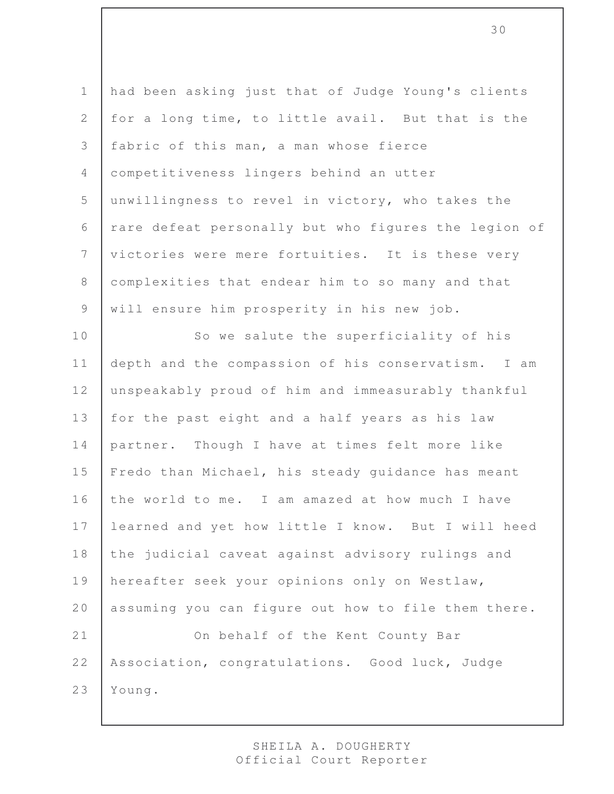had been asking just that of Judge Young's clients 2 for a long time, to little avail. But that is the fabric of this man, a man whose fierce competitiveness lingers behind an utter unwillingness to revel in victory, who takes the 6 | rare defeat personally but who figures the legion of victories were mere fortuities. It is these very complexities that endear him to so many and that 9 | will ensure him prosperity in his new job. 10 So we salute the superficiality of his depth and the compassion of his conservatism. I am 12 unspeakably proud of him and immeasurably thankful 13 | for the past eight and a half years as his law partner. Though I have at times felt more like 15 | Fredo than Michael, his steady guidance has meant the world to me. I am amazed at how much I have learned and yet how little I know. But I will heed the judicial caveat against advisory rulings and hereafter seek your opinions only on Westlaw, assuming you can figure out how to file them there. 21 On behalf of the Kent County Bar Association, congratulations. Good luck, Judge Young.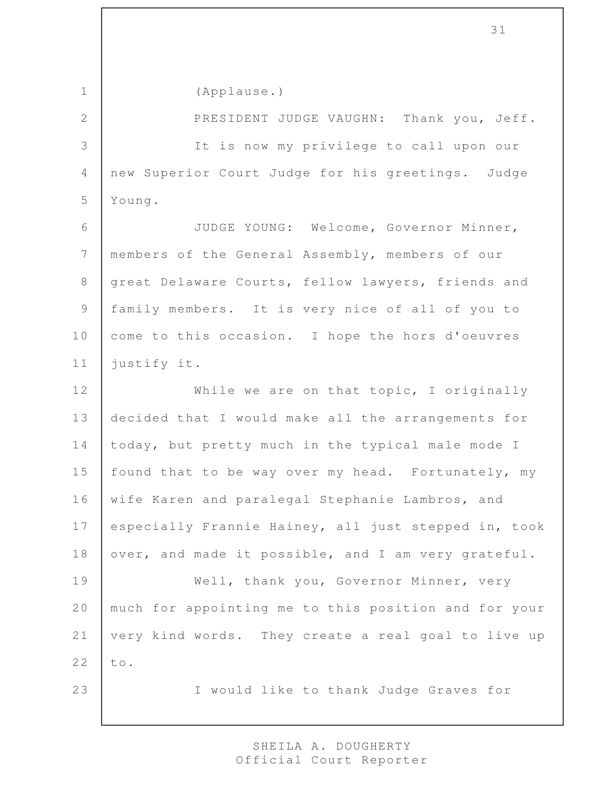1 (Applause.) 2 **PRESIDENT JUDGE VAUGHN:** Thank you, Jeff. 3 It is now my privilege to call upon our 4 new Superior Court Judge for his greetings. Judge 5 Young. 6 JUDGE YOUNG: Welcome, Governor Minner, 7 | members of the General Assembly, members of our 8 great Delaware Courts, fellow lawyers, friends and 9 family members. It is very nice of all of you to 10 come to this occasion. I hope the hors d'oeuvres 11 justify it. 12 While we are on that topic, I originally 13 decided that I would make all the arrangements for 14 today, but pretty much in the typical male mode I 15 | found that to be way over my head. Fortunately, my 16 | wife Karen and paralegal Stephanie Lambros, and 17 especially Frannie Hainey, all just stepped in, took 18 over, and made it possible, and I am very grateful. 19 Well, thank you, Governor Minner, very 20 much for appointing me to this position and for your 21 very kind words. They create a real goal to live up  $22$  to. 23 | I would like to thank Judge Graves for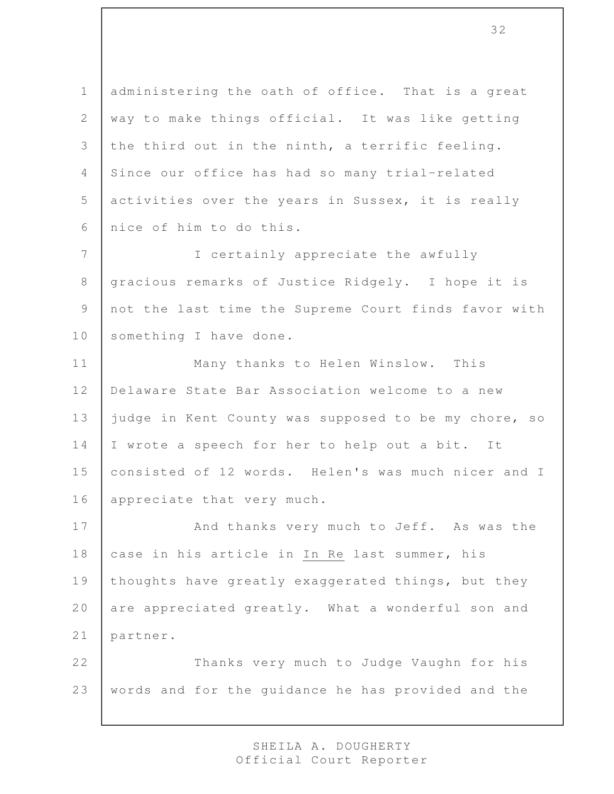1 administering the oath of office. That is a great 2 way to make things official. It was like getting 3 the third out in the ninth, a terrific feeling. 4 Since our office has had so many trial-related 5 activities over the years in Sussex, it is really 6 nice of him to do this.

7 I certainly appreciate the awfully 8 gracious remarks of Justice Ridgely. I hope it is 9 not the last time the Supreme Court finds favor with 10 something I have done.

11 | Many thanks to Helen Winslow. This 12 Delaware State Bar Association welcome to a new 13 judge in Kent County was supposed to be my chore, so 14 I wrote a speech for her to help out a bit. It 15 consisted of 12 words. Helen's was much nicer and I 16 appreciate that very much.

17 | And thanks very much to Jeff. As was the 18 case in his article in In Re last summer, his 19 thoughts have greatly exaggerated things, but they 20 are appreciated greatly. What a wonderful son and 21 partner.

22 Thanks very much to Judge Vaughn for his 23 | words and for the quidance he has provided and the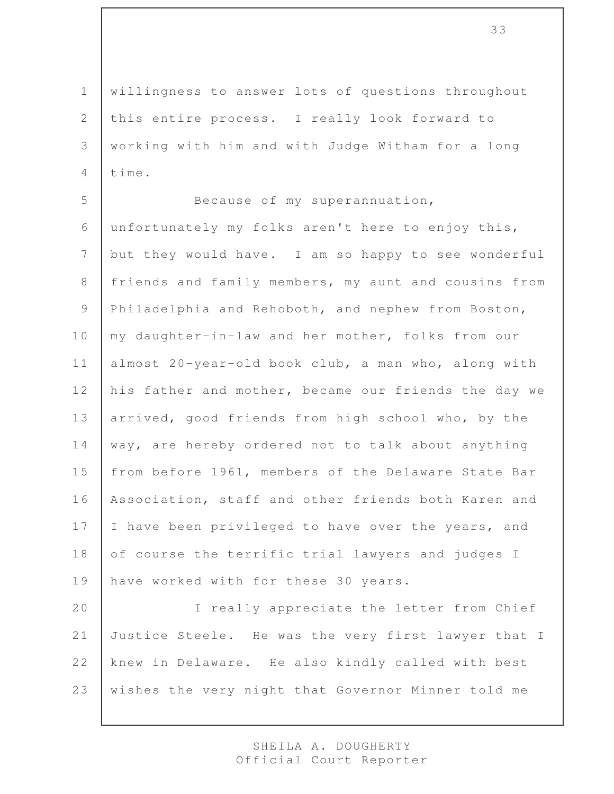willingness to answer lots of questions throughout this entire process. I really look forward to working with him and with Judge Witham for a long  $4$  time.

5 Because of my superannuation, 6 unfortunately my folks aren't here to enjoy this, 7 but they would have. I am so happy to see wonderful 8 | friends and family members, my aunt and cousins from 9 Philadelphia and Rehoboth, and nephew from Boston, 10 my daughter-in-law and her mother, folks from our 11 almost 20-year-old book club, a man who, along with 12 his father and mother, became our friends the day we 13 arrived, good friends from high school who, by the 14 way, are hereby ordered not to talk about anything 15 | from before 1961, members of the Delaware State Bar 16 Association, staff and other friends both Karen and 17 | I have been privileged to have over the years, and 18 of course the terrific trial lawyers and judges I 19 have worked with for these 30 years.

20 I really appreciate the letter from Chief Justice Steele. He was the very first lawyer that I knew in Delaware. He also kindly called with best wishes the very night that Governor Minner told me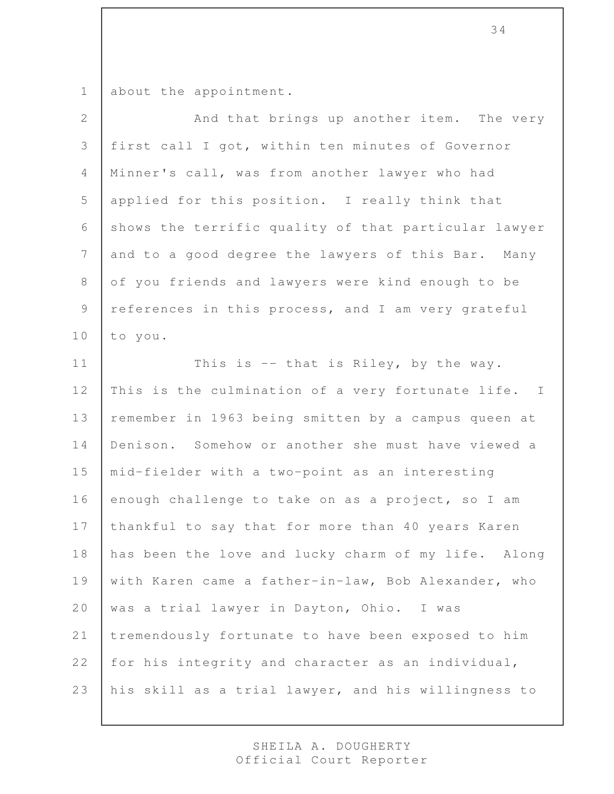1 about the appointment.

| $\overline{2}$ | And that brings up another item. The very            |
|----------------|------------------------------------------------------|
| 3              | first call I got, within ten minutes of Governor     |
| $\overline{4}$ | Minner's call, was from another lawyer who had       |
| 5              | applied for this position. I really think that       |
| 6              | shows the terrific quality of that particular lawyer |
| 7              | and to a good degree the lawyers of this Bar. Many   |
| $8\,$          | of you friends and lawyers were kind enough to be    |
| 9              | references in this process, and I am very grateful   |
| 10             | to you.                                              |
| 11             | This is -- that is Riley, by the way.                |
| 12             | This is the culmination of a very fortunate life. I  |
| 13             | remember in 1963 being smitten by a campus queen at  |
| 14             | Denison. Somehow or another she must have viewed a   |
| 15             | mid-fielder with a two-point as an interesting       |
| 16             | enough challenge to take on as a project, so I am    |
| 17             | thankful to say that for more than 40 years Karen    |
| 18             | has been the love and lucky charm of my life. Along  |
| 19             | with Karen came a father-in-law, Bob Alexander, who  |
| 20             | was a trial lawyer in Dayton, Ohio. I was            |
| 21             | tremendously fortunate to have been exposed to him   |
| 22             | for his integrity and character as an individual,    |
| 23             | his skill as a trial lawyer, and his willingness to  |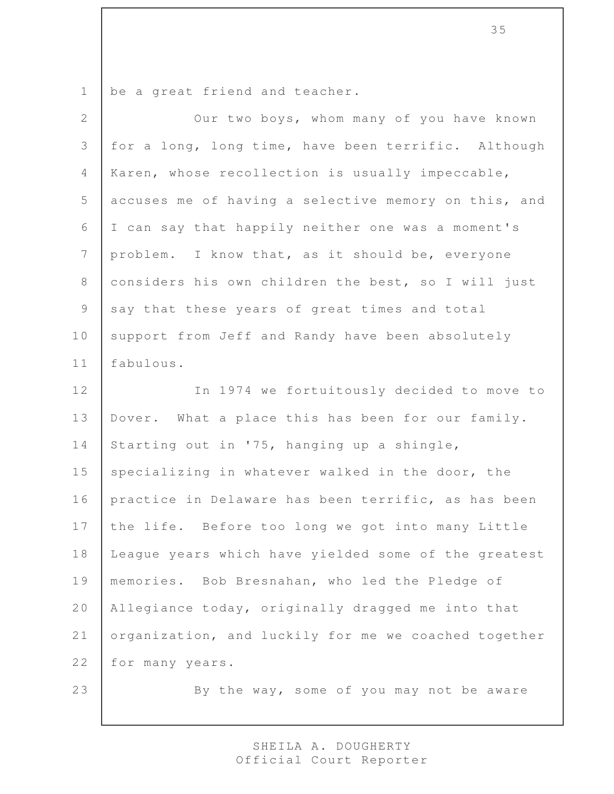1 be a great friend and teacher.

| $\overline{2}$ | Our two boys, whom many of you have known            |
|----------------|------------------------------------------------------|
| $\mathfrak{Z}$ | for a long, long time, have been terrific. Although  |
| $\overline{4}$ | Karen, whose recollection is usually impeccable,     |
| 5              | accuses me of having a selective memory on this, and |
| 6              | I can say that happily neither one was a moment's    |
| $7\phantom{.}$ | problem. I know that, as it should be, everyone      |
| $\,8\,$        | considers his own children the best, so I will just  |
| $\mathcal{G}$  | say that these years of great times and total        |
| 10             | support from Jeff and Randy have been absolutely     |
| 11             | fabulous.                                            |
| 12             | In 1974 we fortuitously decided to move to           |
| 13             | Dover. What a place this has been for our family.    |
| 14             | Starting out in '75, hanging up a shingle,           |
| 15             | specializing in whatever walked in the door, the     |
| 16             | practice in Delaware has been terrific, as has been  |
| 17             | the life. Before too long we got into many Little    |
| 18             | League years which have yielded some of the greatest |
| 19             | memories. Bob Bresnahan, who led the Pledge of       |
| 20             | Allegiance today, originally dragged me into that    |
| 21             | organization, and luckily for me we coached together |
| 22             | for many years.                                      |
| 23             | By the way, some of you may not be aware             |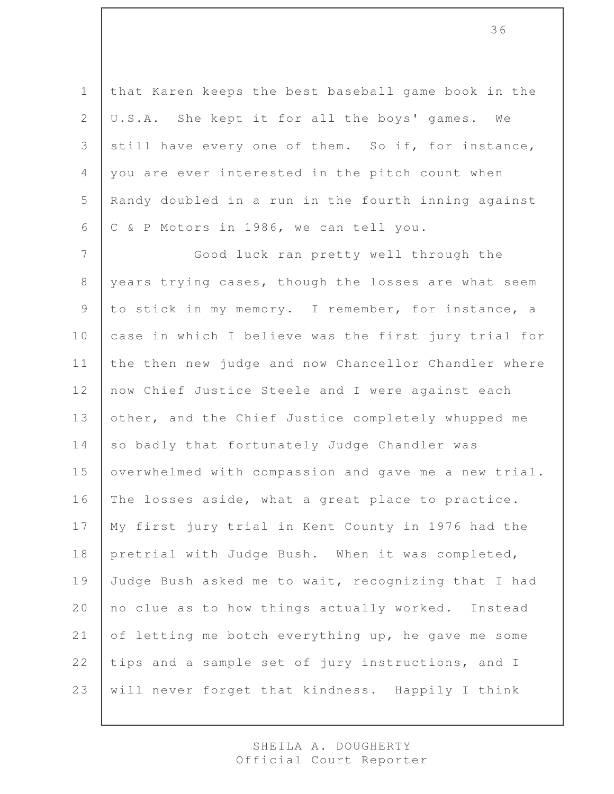1 that Karen keeps the best baseball game book in the 2 U.S.A. She kept it for all the boys' games. We 3 still have every one of them. So if, for instance, 4 you are ever interested in the pitch count when 5 | Randy doubled in a run in the fourth inning against 6 C & P Motors in 1986, we can tell you.

7 Good luck ran pretty well through the 8 years trying cases, though the losses are what seem 9 to stick in my memory. I remember, for instance, a 10 case in which I believe was the first jury trial for 11 the then new judge and now Chancellor Chandler where 12 now Chief Justice Steele and I were against each 13 other, and the Chief Justice completely whupped me 14 so badly that fortunately Judge Chandler was 15 | overwhelmed with compassion and gave me a new trial. 16 The losses aside, what a great place to practice. 17 | My first jury trial in Kent County in 1976 had the 18 pretrial with Judge Bush. When it was completed, 19 Judge Bush asked me to wait, recognizing that I had 20 no clue as to how things actually worked. Instead 21 of letting me botch everything up, he gave me some 22 tips and a sample set of jury instructions, and I 23 | will never forget that kindness. Happily I think

> SHEILA A. DOUGHERTY Official Court Reporter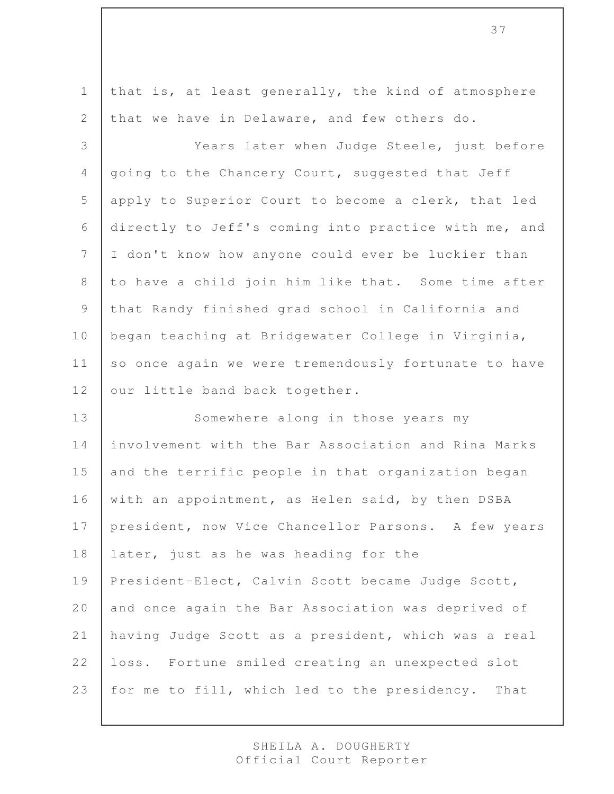1 that is, at least generally, the kind of atmosphere 2 that we have in Delaware, and few others do.

3 Years later when Judge Steele, just before 4 going to the Chancery Court, suggested that Jeff 5 apply to Superior Court to become a clerk, that led 6 directly to Jeff's coming into practice with me, and 7 I don't know how anyone could ever be luckier than 8 to have a child join him like that. Some time after 9 that Randy finished grad school in California and 10 began teaching at Bridgewater College in Virginia, 11 so once again we were tremendously fortunate to have 12 | our little band back together.

13 Somewhere along in those years my 14 involvement with the Bar Association and Rina Marks  $15$  and the terrific people in that organization began 16 | with an appointment, as Helen said, by then DSBA 17 | president, now Vice Chancellor Parsons. A few years 18 later, just as he was heading for the 19 President-Elect, Calvin Scott became Judge Scott, 20 and once again the Bar Association was deprived of 21 having Judge Scott as a president, which was a real 22 loss. Fortune smiled creating an unexpected slot 23 for me to fill, which led to the presidency. That

> SHEILA A. DOUGHERTY Official Court Reporter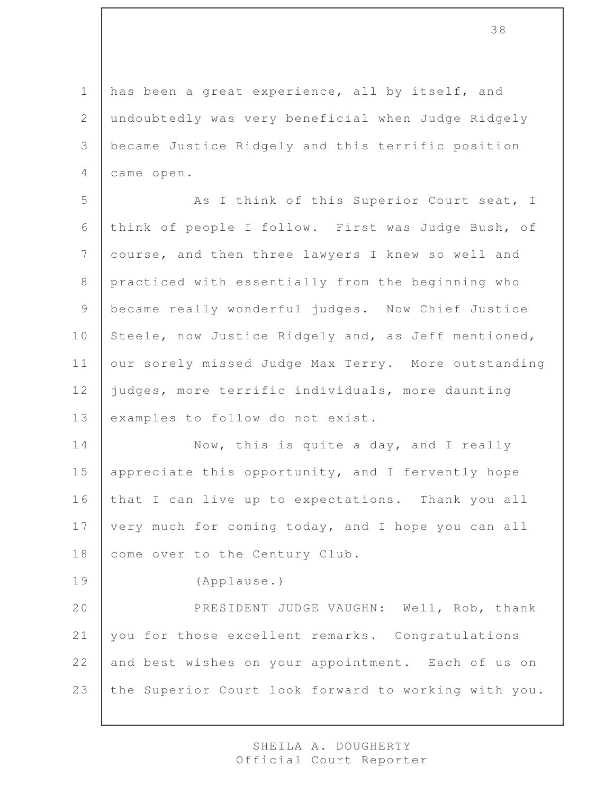1 has been a great experience, all by itself, and undoubtedly was very beneficial when Judge Ridgely became Justice Ridgely and this terrific position came open.

5 As I think of this Superior Court seat, I 6 think of people I follow. First was Judge Bush, of 7 course, and then three lawyers I knew so well and 8 practiced with essentially from the beginning who 9 | became really wonderful judges. Now Chief Justice 10 Steele, now Justice Ridgely and, as Jeff mentioned, 11 | our sorely missed Judge Max Terry. More outstanding 12 judges, more terrific individuals, more daunting 13 examples to follow do not exist.

14 Now, this is quite a day, and I really 15 | appreciate this opportunity, and I fervently hope 16 that I can live up to expectations. Thank you all 17 | very much for coming today, and I hope you can all 18 come over to the Century Club.

19 (Applause.)

20 PRESIDENT JUDGE VAUGHN: Well, Rob, thank 21 you for those excellent remarks. Congratulations 22 and best wishes on your appointment. Each of us on 23 the Superior Court look forward to working with you.